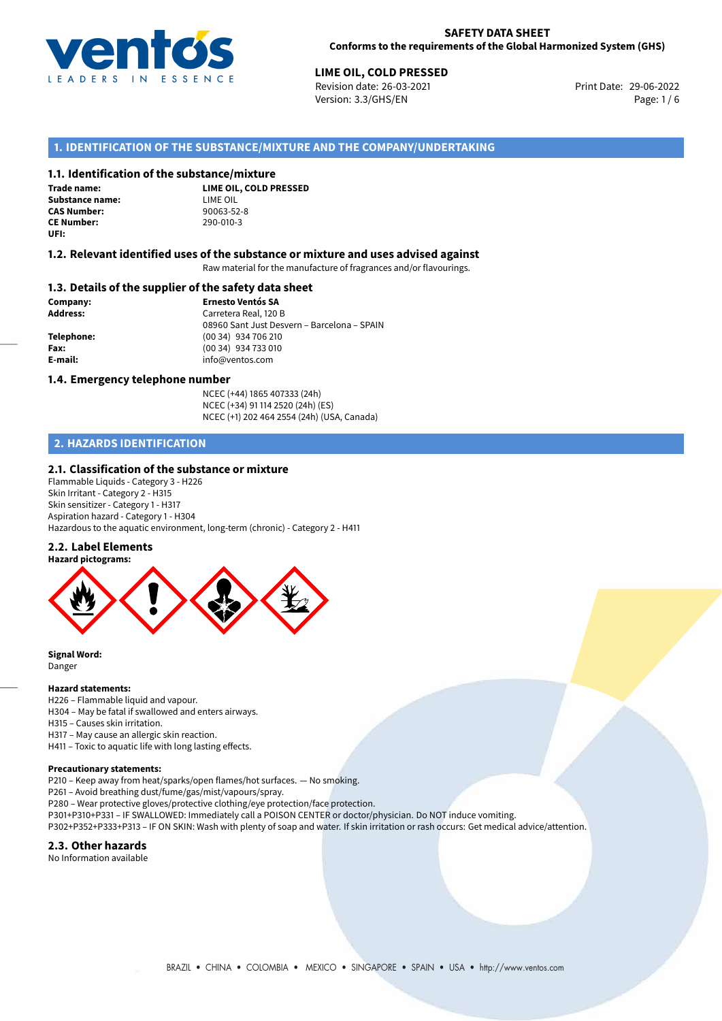

# **LIME OIL, COLD PRESSED**<br>
Revision date: 26-03-2021<br> **Print Date: 29-06-2022**

Revision date: 26-03-2021 Version: 3.3/GHS/EN Page: 1/6

# **1. IDENTIFICATION OF THE SUBSTANCE/MIXTURE AND THE COMPANY/UNDERTAKING**

# **1.1. Identification of the substance/mixture**

**Trade name: Substance name:** LIME OIL<br> **CAS Number:** 90063-52-8 **CAS Number: CE Number:** 290-010-3 **UFI:**

**LIME OIL, COLD PRESSED**

#### **1.2. Relevant identified uses of the substance or mixture and uses advised against**

Raw material for the manufacture of fragrances and/or flavourings.

## **1.3. Details of the supplier of the safety data sheet**

**Company: Ernesto Ventós SA Address:** Carretera Real, 120 B 08960 Sant Just Desvern – Barcelona – SPAIN **Telephone:** (00 34) 934 706 210 **Fax:** (00 34) 934 733 010 **E-mail:** info@ventos.com

#### **1.4. Emergency telephone number**

NCEC (+44) 1865 407333 (24h) NCEC (+34) 91 114 2520 (24h) (ES) NCEC (+1) 202 464 2554 (24h) (USA, Canada)

# **2. HAZARDS IDENTIFICATION**

# **2.1. Classification of the substance or mixture**

Flammable Liquids - Category 3 - H226 Skin Irritant - Category 2 - H315 Skin sensitizer - Category 1 - H317 Aspiration hazard - Category 1 - H304 Hazardous to the aquatic environment, long-term (chronic) - Category 2 - H411

#### **2.2. Label Elements**



**Signal Word:** Danger

#### **Hazard statements:**

H226 – Flammable liquid and vapour.

H304 – May be fatal if swallowed and enters airways.

H315 – Causes skin irritation.

H317 – May cause an allergic skin reaction.

H411 – Toxic to aquatic life with long lasting effects.

#### **Precautionary statements:**

P210 – Keep away from heat/sparks/open flames/hot surfaces. — No smoking.

P261 – Avoid breathing dust/fume/gas/mist/vapours/spray.

P280 – Wear protective gloves/protective clothing/eye protection/face protection.

P301+P310+P331 – IF SWALLOWED: Immediately call a POISON CENTER or doctor/physician. Do NOT induce vomiting.

P302+P352+P333+P313 – IF ON SKIN: Wash with plenty of soap and water. If skin irritation or rash occurs: Get medical advice/attention.

#### **2.3. Other hazards**

No Information available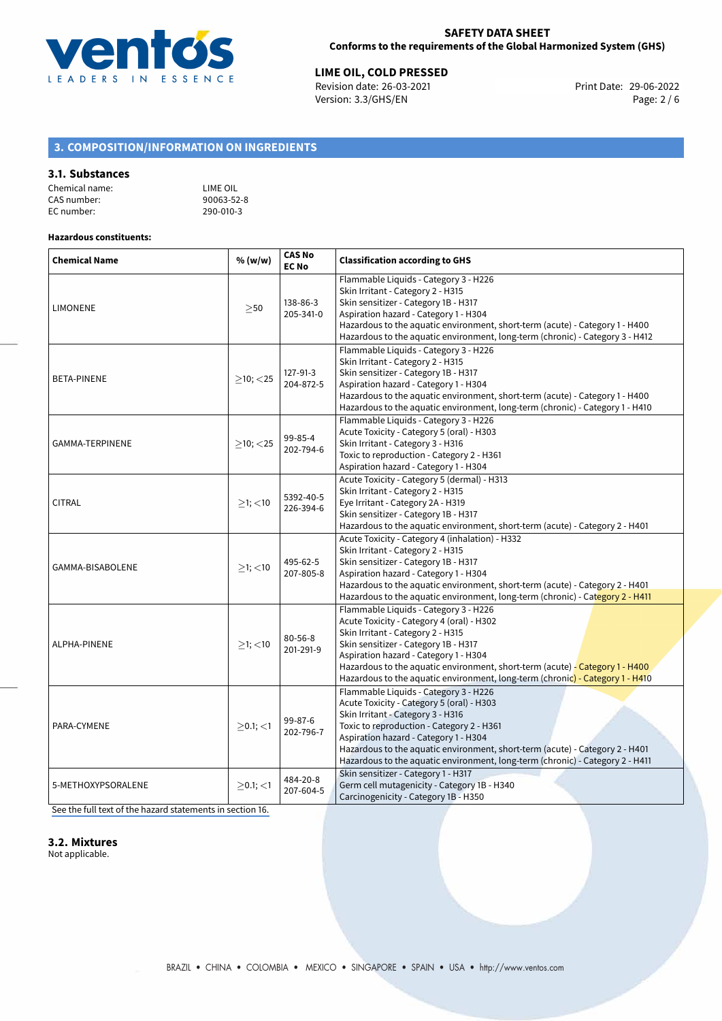

**LIME OIL, COLD PRESSED**<br>
Revision date: 26-03-2021 **Print Date: 29-06-2022** Version: 3.3/GHS/EN Page: 2 / 6

# **3. COMPOSITION/INFORMATION ON INGREDIENTS**

#### **3.1. Substances**

| Chemical name: | LIME OIL   |
|----------------|------------|
| CAS number:    | 90063-52-8 |
| EC number:     | 290-010-3  |

#### **Hazardous constituents:**

| <b>Chemical Name</b> | % (w/w)        | <b>CAS No</b><br><b>EC No</b> | <b>Classification according to GHS</b>                                                                                                                                                                                                                                                                                                                                         |  |  |
|----------------------|----------------|-------------------------------|--------------------------------------------------------------------------------------------------------------------------------------------------------------------------------------------------------------------------------------------------------------------------------------------------------------------------------------------------------------------------------|--|--|
| <b>LIMONENE</b>      | >50            | 138-86-3<br>205-341-0         | Flammable Liquids - Category 3 - H226<br>Skin Irritant - Category 2 - H315<br>Skin sensitizer - Category 1B - H317<br>Aspiration hazard - Category 1 - H304<br>Hazardous to the aquatic environment, short-term (acute) - Category 1 - H400<br>Hazardous to the aquatic environment, long-term (chronic) - Category 3 - H412                                                   |  |  |
| BETA-PINENE          | $>10$ ; $<$ 25 | 127-91-3<br>204-872-5         | Flammable Liquids - Category 3 - H226<br>Skin Irritant - Category 2 - H315<br>Skin sensitizer - Category 1B - H317<br>Aspiration hazard - Category 1 - H304<br>Hazardous to the aquatic environment, short-term (acute) - Category 1 - H400<br>Hazardous to the aquatic environment, long-term (chronic) - Category 1 - H410                                                   |  |  |
| GAMMA-TERPINENE      | $\geq$ 10; <25 | 99-85-4<br>202-794-6          | Flammable Liquids - Category 3 - H226<br>Acute Toxicity - Category 5 (oral) - H303<br>Skin Irritant - Category 3 - H316<br>Toxic to reproduction - Category 2 - H361<br>Aspiration hazard - Category 1 - H304                                                                                                                                                                  |  |  |
| <b>CITRAL</b>        | $\geq$ 1; <10  | 5392-40-5<br>226-394-6        | Acute Toxicity - Category 5 (dermal) - H313<br>Skin Irritant - Category 2 - H315<br>Eye Irritant - Category 2A - H319<br>Skin sensitizer - Category 1B - H317<br>Hazardous to the aquatic environment, short-term (acute) - Category 2 - H401                                                                                                                                  |  |  |
| GAMMA-BISABOLENE     | $>1$ ; $<$ 10  | 495-62-5<br>207-805-8         | Acute Toxicity - Category 4 (inhalation) - H332<br>Skin Irritant - Category 2 - H315<br>Skin sensitizer - Category 1B - H317<br>Aspiration hazard - Category 1 - H304<br>Hazardous to the aquatic environment, short-term (acute) - Category 2 - H401<br>Hazardous to the aquatic environment, long-term (chronic) - Category 2 - H411                                         |  |  |
| ALPHA-PINENE         | $>1$ ; $<$ 10  | $80 - 56 - 8$<br>201-291-9    | Flammable Liquids - Category 3 - H226<br>Acute Toxicity - Category 4 (oral) - H302<br>Skin Irritant - Category 2 - H315<br>Skin sensitizer - Category 1B - H317<br>Aspiration hazard - Category 1 - H304<br>Hazardous to the aquatic environment, short-term (acute) - Category 1 - H400<br>Hazardous to the aquatic environment, long-term (chronic) - Category 1 - H410      |  |  |
| PARA-CYMENE          | $>0.1$ ; $<$ 1 | 99-87-6<br>202-796-7          | Flammable Liquids - Category 3 - H226<br>Acute Toxicity - Category 5 (oral) - H303<br>Skin Irritant - Category 3 - H316<br>Toxic to reproduction - Category 2 - H361<br>Aspiration hazard - Category 1 - H304<br>Hazardous to the aquatic environment, short-term (acute) - Category 2 - H401<br>Hazardous to the aquatic environment, long-term (chronic) - Category 2 - H411 |  |  |
| 5-METHOXYPSORALENE   | $>0.1$ ; $<$ 1 | 484-20-8<br>207-604-5         | Skin sensitizer - Category 1 - H317<br>Germ cell mutagenicity - Category 1B - H340<br>Carcinogenicity - Category 1B - H350                                                                                                                                                                                                                                                     |  |  |

[See the full text of the hazard statements in section 16.](#page-5-0)

# **3.2. Mixtures**

Not applicable.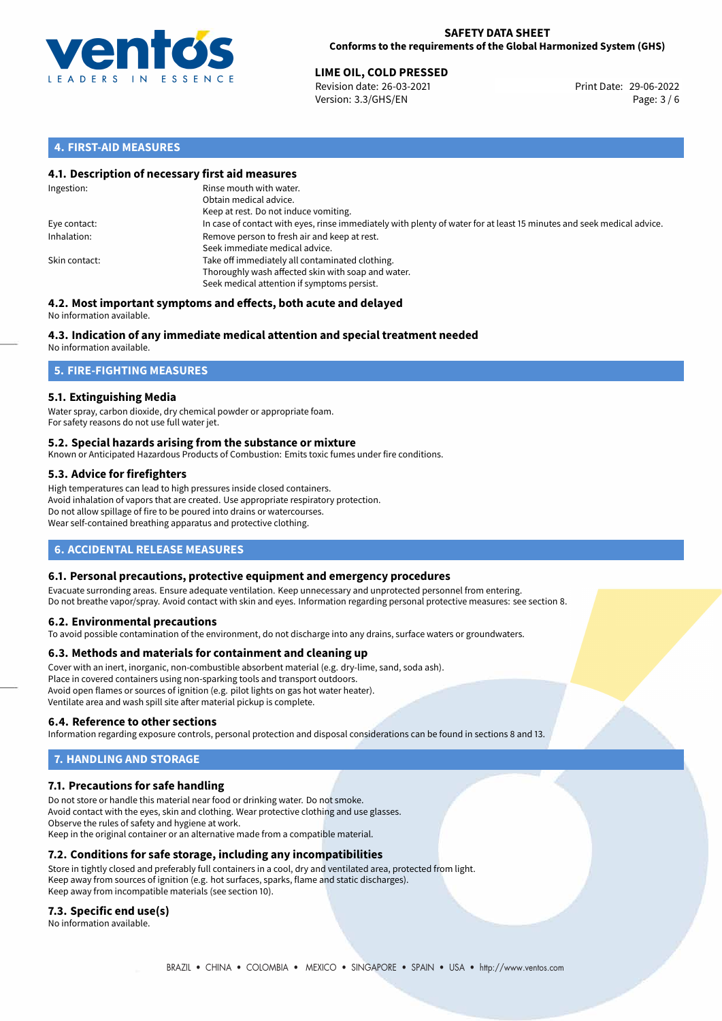

# **LIME OIL, COLD PRESSED**<br>
Revision date: 26-03-2021<br> **Print Date: 29-06-2022**

Revision date: 26-03-2021 Version: 3.3/GHS/EN Page: 3 / 6

# **4. FIRST-AID MEASURES**

# **4.1. Description of necessary first aid measures**

| Ingestion:    | Rinse mouth with water.<br>Obtain medical advice.<br>Keep at rest. Do not induce vomiting.                                                           |
|---------------|------------------------------------------------------------------------------------------------------------------------------------------------------|
| Eye contact:  | In case of contact with eyes, rinse immediately with plenty of water for at least 15 minutes and seek medical advice.                                |
| Inhalation:   | Remove person to fresh air and keep at rest.<br>Seek immediate medical advice.                                                                       |
| Skin contact: | Take off immediately all contaminated clothing.<br>Thoroughly wash affected skin with soap and water.<br>Seek medical attention if symptoms persist. |

#### **4.2. Most important symptoms and effects, both acute and delayed** No information available.

# **4.3. Indication of any immediate medical attention and special treatment needed**

No information available.

# **5. FIRE-FIGHTING MEASURES**

# **5.1. Extinguishing Media**

Water spray, carbon dioxide, dry chemical powder or appropriate foam. For safety reasons do not use full water jet.

# **5.2. Special hazards arising from the substance or mixture**

Known or Anticipated Hazardous Products of Combustion: Emits toxic fumes under fire conditions.

# **5.3. Advice for firefighters**

High temperatures can lead to high pressures inside closed containers. Avoid inhalation of vapors that are created. Use appropriate respiratory protection. Do not allow spillage of fire to be poured into drains or watercourses. Wear self-contained breathing apparatus and protective clothing.

# **6. ACCIDENTAL RELEASE MEASURES**

# **6.1. Personal precautions, protective equipment and emergency procedures**

Evacuate surronding areas. Ensure adequate ventilation. Keep unnecessary and unprotected personnel from entering. Do not breathe vapor/spray. Avoid contact with skin and eyes. Information regarding personal protective measures: see section 8.

# **6.2. Environmental precautions**

To avoid possible contamination of the environment, do not discharge into any drains, surface waters or groundwaters.

# **6.3. Methods and materials for containment and cleaning up**

Cover with an inert, inorganic, non-combustible absorbent material (e.g. dry-lime, sand, soda ash). Place in covered containers using non-sparking tools and transport outdoors. Avoid open flames or sources of ignition (e.g. pilot lights on gas hot water heater). Ventilate area and wash spill site after material pickup is complete.

# **6.4. Reference to other sections**

Information regarding exposure controls, personal protection and disposal considerations can be found in sections 8 and 13.

# **7. HANDLING AND STORAGE**

# **7.1. Precautions for safe handling**

Do not store or handle this material near food or drinking water. Do not smoke. Avoid contact with the eyes, skin and clothing. Wear protective clothing and use glasses. Observe the rules of safety and hygiene at work. Keep in the original container or an alternative made from a compatible material.

# **7.2. Conditions for safe storage, including any incompatibilities**

Store in tightly closed and preferably full containers in a cool, dry and ventilated area, protected from light. Keep away from sources of ignition (e.g. hot surfaces, sparks, flame and static discharges). Keep away from incompatible materials (see section 10).

# **7.3. Specific end use(s)**

No information available.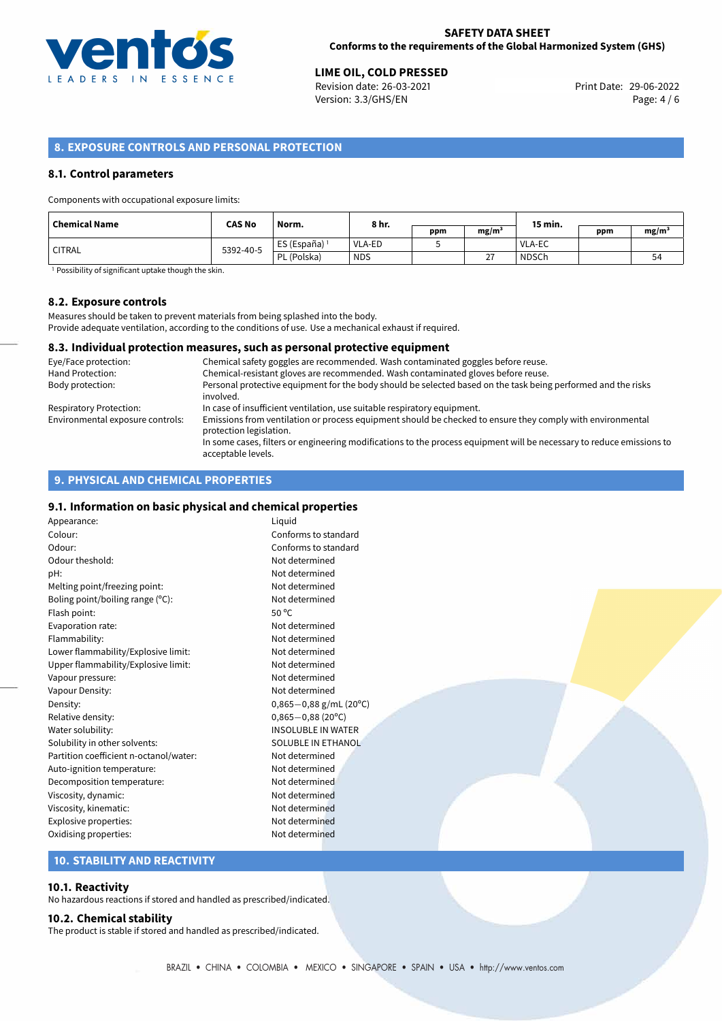

# 29-06-2022 **LIME OIL, COLD PRESSED**

Revision date: 26-03-2021 Version: 3.3/GHS/EN Page: 4 / 6

# **8. EXPOSURE CONTROLS AND PERSONAL PROTECTION**

#### **8.1. Control parameters**

Components with occupational exposure limits:

| Chemical Name | <b>CAS No</b> | Norm.                    | 8 hr.      |     |                   | 15 min.       |     |                   |
|---------------|---------------|--------------------------|------------|-----|-------------------|---------------|-----|-------------------|
|               |               |                          |            | ppm | mg/m <sup>3</sup> |               | ppm | mg/m <sup>3</sup> |
| ' CITRAL      | 5392-40-5     | ES (España) <sup>1</sup> | VLA-ED     |     |                   | <b>VLA-EC</b> |     |                   |
|               |               | PL (Polska)              | <b>NDS</b> |     | דר<br>ᄼ           | <b>NDSCh</b>  |     | 54                |

<sup>1</sup> Possibility of significant uptake though the skin.

### **8.2. Exposure controls**

Measures should be taken to prevent materials from being splashed into the body. Provide adequate ventilation, according to the conditions of use. Use a mechanical exhaust if required.

## **8.3. Individual protection measures, such as personal protective equipment**

| Eye/Face protection:             | Chemical safety goggles are recommended. Wash contaminated goggles before reuse.                                                            |
|----------------------------------|---------------------------------------------------------------------------------------------------------------------------------------------|
| Hand Protection:                 | Chemical-resistant gloves are recommended. Wash contaminated gloves before reuse.                                                           |
| Body protection:                 | Personal protective equipment for the body should be selected based on the task being performed and the risks<br>involved.                  |
| Respiratory Protection:          | In case of insufficient ventilation, use suitable respiratory equipment.                                                                    |
| Environmental exposure controls: | Emissions from ventilation or process equipment should be checked to ensure they comply with environmental<br>protection legislation.       |
|                                  | In some cases, filters or engineering modifications to the process equipment will be necessary to reduce emissions to<br>acceptable levels. |

# **9. PHYSICAL AND CHEMICAL PROPERTIES**

# **9.1. Information on basic physical and chemical properties**

| Appearance:                            | Liquid                |
|----------------------------------------|-----------------------|
| Colour:                                | Conforms to sta       |
| Odour:                                 | Conforms to sta       |
| Odour theshold:                        | Not determined        |
| pH:                                    | Not determined        |
| Melting point/freezing point:          | Not determined        |
| Boling point/boiling range $(°C)$ :    | Not determined        |
| Flash point:                           | 50 $^{\circ}$ C       |
| Evaporation rate:                      | Not determined        |
| Flammability:                          | Not determined        |
| Lower flammability/Explosive limit:    | Not determined        |
| Upper flammability/Explosive limit:    | Not determined        |
| Vapour pressure:                       | Not determined        |
| Vapour Density:                        | Not determined        |
| Density:                               | $0,865 - 0,88$ g/n    |
| Relative density:                      | $0,865 - 0,88(20)$    |
| Water solubility:                      | <b>INSOLUBLE IN V</b> |
| Solubility in other solvents:          | <b>SOLUBLE IN ETH</b> |
| Partition coefficient n-octanol/water: | Not determined        |
| Auto-ignition temperature:             | Not determined        |
| Decomposition temperature:             | Not determined        |
| Viscosity, dynamic:                    | Not determined        |
| Viscosity, kinematic:                  | Not determined        |
| Explosive properties:                  | Not determined        |
| Oxidising properties:                  | Not determined        |

Conforms to standard Conforms to standard Not determined Not determined Not determined Not determined Not determined Not determined Not determined Not determined Not determined Not determined Density: 0,865*−*0,88 g/mL (20ºC) Relative density: 0,865*−*0,88 (20ºC) INSOLUBLE IN WATER SOLUBLE IN ETHANOL Not determined Not determined Not determined Not determined Not determined Not determined

## **10. STABILITY AND REACTIVITY**

#### **10.1. Reactivity**

No hazardous reactions if stored and handled as prescribed/indicated.

#### **10.2. Chemical stability**

The product is stable if stored and handled as prescribed/indicated.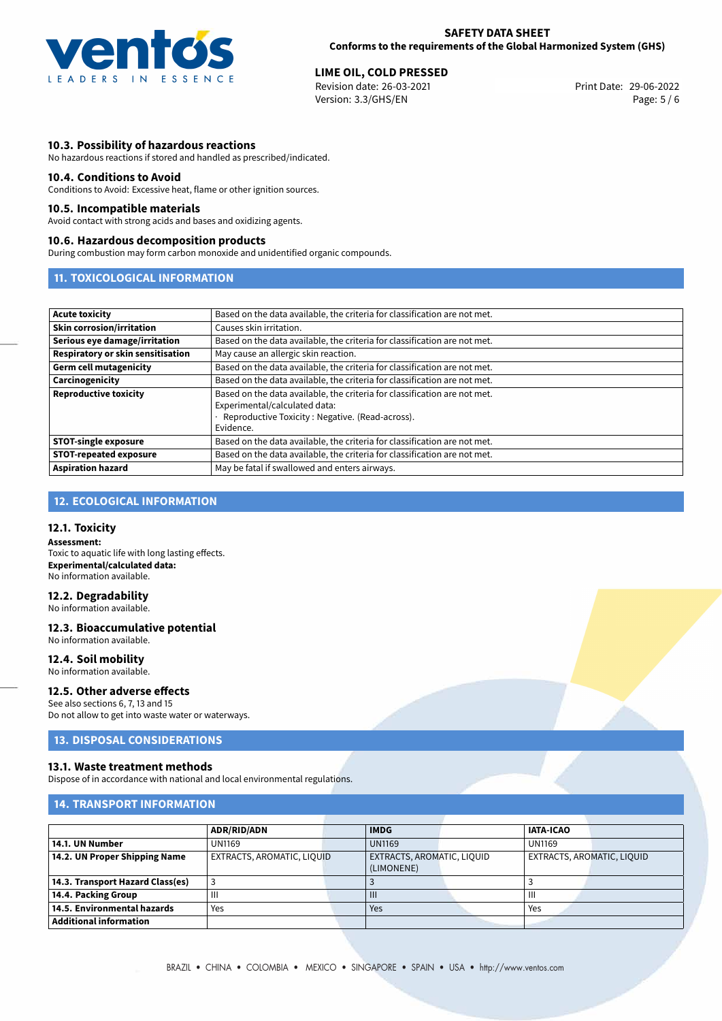

# 29-06-2022 **LIME OIL, COLD PRESSED**

Revision date: 26-03-2021 Version: 3.3/GHS/EN Page: 5 / 6

# **10.3. Possibility of hazardous reactions**

No hazardous reactions if stored and handled as prescribed/indicated.

#### **10.4. Conditions to Avoid**

Conditions to Avoid: Excessive heat, flame or other ignition sources.

#### **10.5. Incompatible materials**

Avoid contact with strong acids and bases and oxidizing agents.

#### **10.6. Hazardous decomposition products**

During combustion may form carbon monoxide and unidentified organic compounds.

# **11. TOXICOLOGICAL INFORMATION**

| <b>Acute toxicity</b>             | Based on the data available, the criteria for classification are not met.                                                                                                    |
|-----------------------------------|------------------------------------------------------------------------------------------------------------------------------------------------------------------------------|
| <b>Skin corrosion/irritation</b>  | Causes skin irritation.                                                                                                                                                      |
| Serious eye damage/irritation     | Based on the data available, the criteria for classification are not met.                                                                                                    |
| Respiratory or skin sensitisation | May cause an allergic skin reaction.                                                                                                                                         |
| <b>Germ cell mutagenicity</b>     | Based on the data available, the criteria for classification are not met.                                                                                                    |
| Carcinogenicity                   | Based on the data available, the criteria for classification are not met.                                                                                                    |
| <b>Reproductive toxicity</b>      | Based on the data available, the criteria for classification are not met.<br>Experimental/calculated data:<br>· Reproductive Toxicity: Negative. (Read-across).<br>Evidence. |
| <b>STOT-single exposure</b>       | Based on the data available, the criteria for classification are not met.                                                                                                    |
| STOT-repeated exposure            | Based on the data available, the criteria for classification are not met.                                                                                                    |
| <b>Aspiration hazard</b>          | May be fatal if swallowed and enters airways.                                                                                                                                |

# **12. ECOLOGICAL INFORMATION**

# **12.1. Toxicity**

**Assessment:** Toxic to aquatic life with long lasting effects. **Experimental/calculated data:** No information available.

# **12.2. Degradability**

No information available.

## **12.3. Bioaccumulative potential**

No information available.

# **12.4. Soil mobility**

No information available.

# **12.5. Other adverse effects**

See also sections 6, 7, 13 and 15 Do not allow to get into waste water or waterways.

# **13. DISPOSAL CONSIDERATIONS**

#### **13.1. Waste treatment methods**

Dispose of in accordance with national and local environmental regulations.

# **14. TRANSPORT INFORMATION**

|                                  | <b>ADR/RID/ADN</b>         | <b>IMDG</b>    |                            | <b>IATA-ICAO</b> |                            |  |
|----------------------------------|----------------------------|----------------|----------------------------|------------------|----------------------------|--|
| 14.1. UN Number                  | UN1169                     | <b>UN1169</b>  |                            | <b>UN1169</b>    |                            |  |
| 14.2. UN Proper Shipping Name    | EXTRACTS, AROMATIC, LIQUID |                | EXTRACTS, AROMATIC, LIQUID |                  | EXTRACTS, AROMATIC, LIQUID |  |
|                                  |                            | (LIMONENE)     |                            |                  |                            |  |
| 14.3. Transport Hazard Class(es) |                            |                |                            |                  |                            |  |
| 14.4. Packing Group              | Ш                          | $\mathbf{III}$ |                            | Ш                |                            |  |
| 14.5. Environmental hazards      | Yes                        | Yes            |                            | Yes              |                            |  |
| <b>Additional information</b>    |                            |                |                            |                  |                            |  |